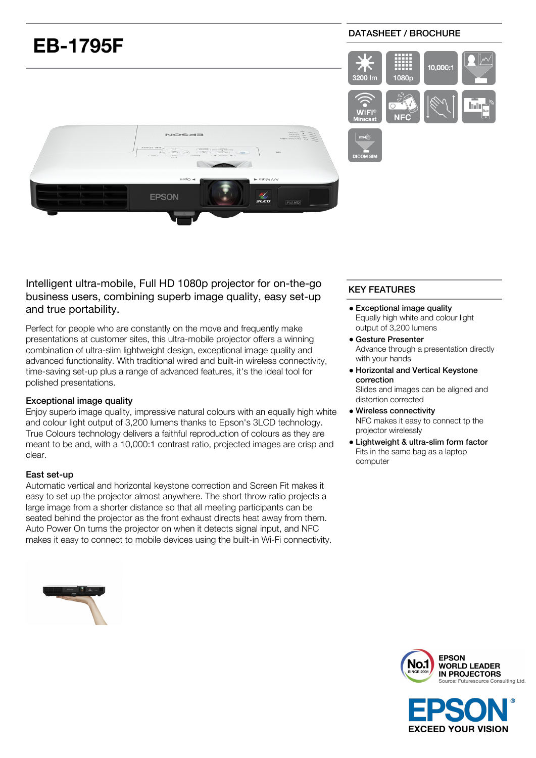# DATASHEET / BROCHURE **EB-1795F**  $\overline{\phantom{a}}$ 10,000: 3200 Im 1080p **EPSON** sico

Intelligent ultra-mobile, Full HD 1080p projector for on-the-go business users, combining superb image quality, easy set-up and true portability.

Perfect for people who are constantly on the move and frequently make presentations at customer sites, this ultra-mobile projector offers a winning combination of ultra-slim lightweight design, exceptional image quality and advanced functionality. With traditional wired and built-in wireless connectivity, time-saving set-up plus a range of advanced features, it's the ideal tool for polished presentations.

#### Exceptional image quality

Enjoy superb image quality, impressive natural colours with an equally high white and colour light output of 3,200 lumens thanks to Epson's 3LCD technology. True Colours technology delivers a faithful reproduction of colours as they are meant to be and, with a 10,000:1 contrast ratio, projected images are crisp and clear.

#### East set-up

Automatic vertical and horizontal keystone correction and Screen Fit makes it easy to set up the projector almost anywhere. The short throw ratio projects a large image from a shorter distance so that all meeting participants can be seated behind the projector as the front exhaust directs heat away from them. Auto Power On turns the projector on when it detects signal input, and NFC makes it easy to connect to mobile devices using the built-in Wi-Fi connectivity.

## KEY FEATURES

- Exceptional image quality Equally high white and colour light output of 3,200 lumens
- Gesture Presenter Advance through a presentation directly with your hands
- Horizontal and Vertical Keystone correction

Slides and images can be aligned and distortion corrected

- Wireless connectivity NFC makes it easy to connect tp the projector wirelessly
- Lightweight & ultra-slim form factor Fits in the same bag as a laptop computer



**EXCEED YOUR VISION** 



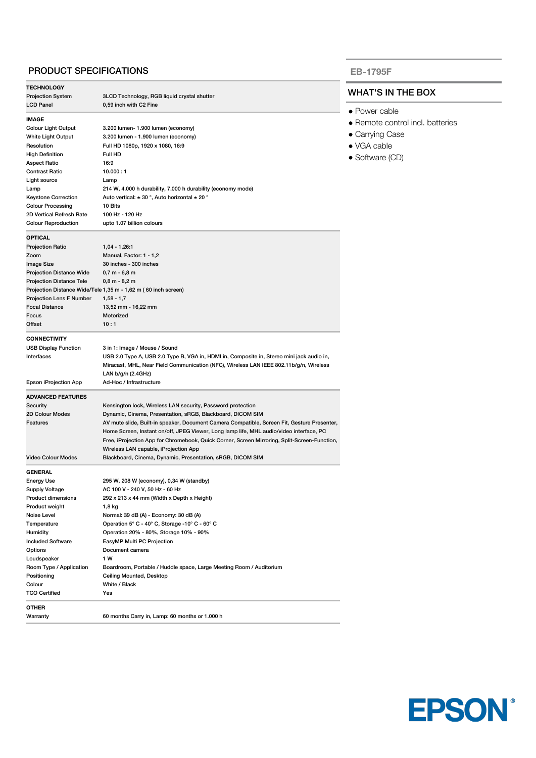#### PRODUCT SPECIFICATIONS

| <b>TECHNOLOGY</b>               |                                                                                                                                                                                                           |  |
|---------------------------------|-----------------------------------------------------------------------------------------------------------------------------------------------------------------------------------------------------------|--|
| <b>Projection System</b>        | 3LCD Technology, RGB liquid crystal shutter                                                                                                                                                               |  |
| LCD Panel                       | 0,59 inch with C2 Fine                                                                                                                                                                                    |  |
| <b>IMAGE</b>                    |                                                                                                                                                                                                           |  |
| <b>Colour Light Output</b>      | 3.200 lumen- 1.900 lumen (economy)                                                                                                                                                                        |  |
| White Light Output              | 3.200 lumen - 1.900 lumen (economy)                                                                                                                                                                       |  |
| Resolution                      | Full HD 1080p, 1920 x 1080, 16:9                                                                                                                                                                          |  |
| <b>High Definition</b>          | Full HD                                                                                                                                                                                                   |  |
| Aspect Ratio                    | 16:9                                                                                                                                                                                                      |  |
| <b>Contrast Ratio</b>           | 10.000:1                                                                                                                                                                                                  |  |
| Light source                    | Lamp                                                                                                                                                                                                      |  |
| Lamp                            | 214 W, 4.000 h durability, 7.000 h durability (economy mode)                                                                                                                                              |  |
| <b>Keystone Correction</b>      | Auto vertical: $\pm$ 30 °, Auto horizontal $\pm$ 20 °                                                                                                                                                     |  |
| <b>Colour Processing</b>        | 10 Bits                                                                                                                                                                                                   |  |
| 2D Vertical Refresh Rate        | 100 Hz - 120 Hz                                                                                                                                                                                           |  |
| <b>Colour Reproduction</b>      | upto 1.07 billion colours                                                                                                                                                                                 |  |
| <b>OPTICAL</b>                  |                                                                                                                                                                                                           |  |
| Projection Ratio                | $1,04 - 1,26.1$                                                                                                                                                                                           |  |
| Zoom                            | Manual, Factor: 1 - 1,2                                                                                                                                                                                   |  |
| Image Size                      | 30 inches - 300 inches                                                                                                                                                                                    |  |
| <b>Projection Distance Wide</b> | $0,7 m - 6,8 m$                                                                                                                                                                                           |  |
| <b>Projection Distance Tele</b> | 0,8 m - 8,2 m                                                                                                                                                                                             |  |
|                                 | Projection Distance Wide/Tele 1,35 m - 1,62 m (60 inch screen)                                                                                                                                            |  |
| Projection Lens F Number        | $1,58 - 1,7$                                                                                                                                                                                              |  |
| <b>Focal Distance</b>           | 13,52 mm - 16,22 mm                                                                                                                                                                                       |  |
| Focus                           | Motorized                                                                                                                                                                                                 |  |
| Offset                          | 10:1                                                                                                                                                                                                      |  |
| <b>CONNECTIVITY</b>             |                                                                                                                                                                                                           |  |
| <b>USB Display Function</b>     | 3 in 1: Image / Mouse / Sound                                                                                                                                                                             |  |
| Interfaces                      | USB 2.0 Type A, USB 2.0 Type B, VGA in, HDMI in, Composite in, Stereo mini jack audio in,<br>Miracast, MHL, Near Field Communication (NFC), Wireless LAN IEEE 802.11b/g/n, Wireless<br>LAN b/g/n (2.4GHz) |  |
| Epson iProjection App           | Ad-Hoc / Infrastructure                                                                                                                                                                                   |  |
| <b>ADVANCED FEATURES</b>        |                                                                                                                                                                                                           |  |
| Security                        | Kensington lock, Wireless LAN security, Password protection                                                                                                                                               |  |
| 2D Colour Modes                 | Dynamic, Cinema, Presentation, sRGB, Blackboard, DICOM SIM                                                                                                                                                |  |
| Features                        | AV mute slide, Built-in speaker, Document Camera Compatible, Screen Fit, Gesture Presenter,                                                                                                               |  |
|                                 | Home Screen, Instant on/off, JPEG Viewer, Long lamp life, MHL audio/video interface, PC                                                                                                                   |  |
|                                 | Free, iProjection App for Chromebook, Quick Corner, Screen Mirroring, Split-Screen-Function,                                                                                                              |  |
|                                 | Wireless LAN capable, iProjection App                                                                                                                                                                     |  |
| <b>Video Colour Modes</b>       | Blackboard, Cinema, Dynamic, Presentation, sRGB, DICOM SIM                                                                                                                                                |  |
| <b>GENERAL</b>                  |                                                                                                                                                                                                           |  |
| Energy Use                      | 295 W, 208 W (economy), 0,34 W (standby)                                                                                                                                                                  |  |
| Supply Voltage                  | AC 100 V - 240 V, 50 Hz - 60 Hz                                                                                                                                                                           |  |
| Product dimensions              | 292 x 213 x 44 mm (Width x Depth x Height)                                                                                                                                                                |  |
| Product weight                  | 1,8 kg                                                                                                                                                                                                    |  |
| Noise Level                     | Normal: 39 dB (A) - Economy: 30 dB (A)                                                                                                                                                                    |  |
| Temperature                     | Operation 5° C - 40° C, Storage -10° C - 60° C                                                                                                                                                            |  |
| Humidity                        | Operation 20% - 80%, Storage 10% - 90%                                                                                                                                                                    |  |
| <b>Included Software</b>        | EasyMP Multi PC Projection                                                                                                                                                                                |  |
| Options                         | Document camera                                                                                                                                                                                           |  |
| Loudspeaker                     | 1 W                                                                                                                                                                                                       |  |
| Room Type / Application         | Boardroom, Portable / Huddle space, Large Meeting Room / Auditorium                                                                                                                                       |  |
| Positioning                     | Ceiling Mounted, Desktop                                                                                                                                                                                  |  |
| Colour                          | White / Black                                                                                                                                                                                             |  |
| <b>TCO Certified</b>            | Yes                                                                                                                                                                                                       |  |
| OTHER                           |                                                                                                                                                                                                           |  |
| Warranty                        | 60 months Carry in, Lamp: 60 months or 1.000 h                                                                                                                                                            |  |
|                                 |                                                                                                                                                                                                           |  |

#### **EB-1795F**

### WHAT'S IN THE BOX

- Power cable
- Remote control incl. batteries
- Carrying Case
- VGA cable
- Software (CD)